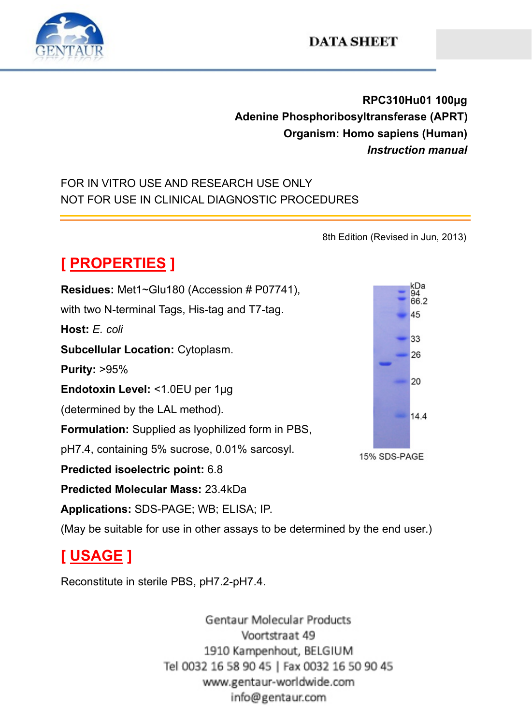

**RPC310Hu01 100µg Adenine Phosphoribosyltransferase (APRT) Organism: Homo sapiens (Human)** *Instruction manual*

#### FOR IN VITRO USE AND RESEARCH USE ONLY NOT FOR USE IN CLINICAL DIAGNOSTIC PROCEDURES

8th Edition (Revised in Jun, 2013)

# **[ PROPERTIES ]**

**Residues:** Met1~Glu180 (Accession # P07741), with two N-terminal Tags, His-tag and T7-tag. **Host:** *E. coli* **Subcellular Location:** Cytoplasm. **Purity:** >95% **Endotoxin Level:** <1.0EU per 1μg (determined by the LAL method). **Formulation:** Supplied as lyophilized form in PBS, pH7.4, containing 5% sucrose, 0.01% sarcosyl. **Predicted isoelectric point:** 6.8 **Predicted Molecular Mass:** 23.4kDa **Applications:** SDS-PAGE; WB; ELISA; IP. (May be suitable for use in other assays to be determined by the end user.)

## **[ USAGE ]**

Reconstitute in sterile PBS, pH7.2-pH7.4.

Gentaur Molecular Products Voortstraat 49 1910 Kampenhout, BELGIUM Tel 0032 16 58 90 45 | Fax 0032 16 50 90 45 www.gentaur-worldwide.com info@gentaur.com